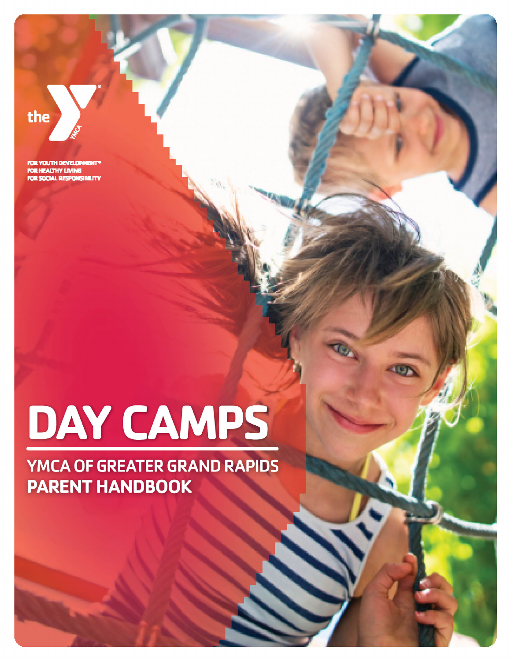## the

FOR YOUTH DEVELOP FOR HEALTHY LIVING FOR SOCIAL RESPONSIBILITY

# DAY CAMPS

## **YMCA OF GREATER GRAND RAPIDS PARENT HANDBOOK**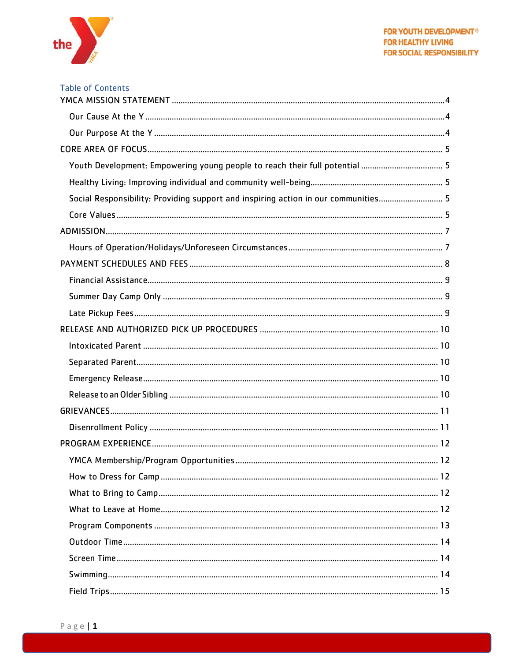

| Social Responsibility: Providing support and inspiring action in our communities 5 |
|------------------------------------------------------------------------------------|
|                                                                                    |
|                                                                                    |
|                                                                                    |
|                                                                                    |
|                                                                                    |
|                                                                                    |
|                                                                                    |
|                                                                                    |
|                                                                                    |
|                                                                                    |
|                                                                                    |
|                                                                                    |
|                                                                                    |
|                                                                                    |
|                                                                                    |
|                                                                                    |
|                                                                                    |
|                                                                                    |
|                                                                                    |
|                                                                                    |
|                                                                                    |
|                                                                                    |
|                                                                                    |
|                                                                                    |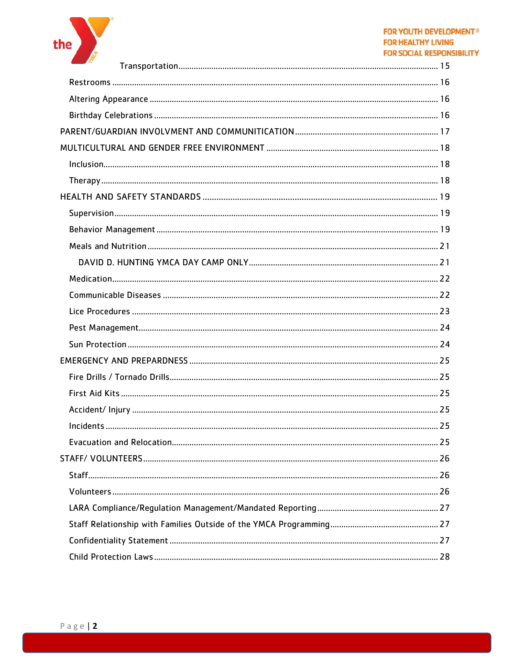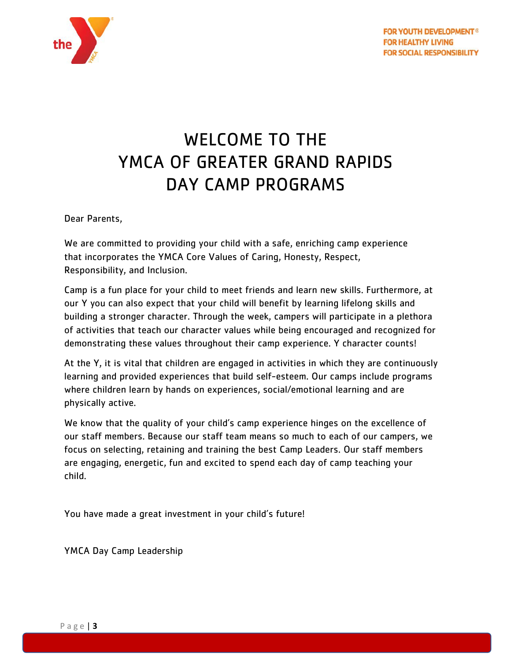

## WELCOME TO THE YMCA OF GREATER GRAND RAPIDS DAY CAMP PROGRAMS

Dear Parents,

We are committed to providing your child with a safe, enriching camp experience that incorporates the YMCA Core Values of Caring, Honesty, Respect, Responsibility, and Inclusion.

Camp is a fun place for your child to meet friends and learn new skills. Furthermore, at our Y you can also expect that your child will benefit by learning lifelong skills and building a stronger character. Through the week, campers will participate in a plethora of activities that teach our character values while being encouraged and recognized for demonstrating these values throughout their camp experience. Y character counts!

At the Y, it is vital that children are engaged in activities in which they are continuously learning and provided experiences that build self-esteem. Our camps include programs where children learn by hands on experiences, social/emotional learning and are physically active.

We know that the quality of your child's camp experience hinges on the excellence of our staff members. Because our staff team means so much to each of our campers, we focus on selecting, retaining and training the best Camp Leaders. Our staff members are engaging, energetic, fun and excited to spend each day of camp teaching your child.

You have made a great investment in your child's future!

YMCA Day Camp Leadership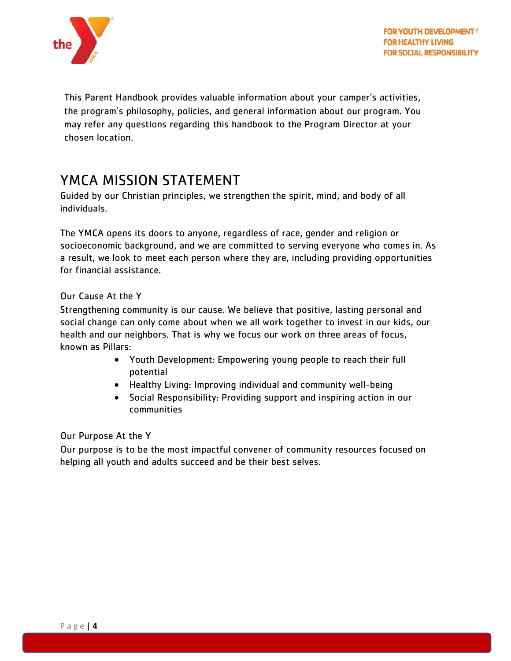

This Parent Handbook provides valuable information about your camper's activities, the program's philosophy, policies, and general information about our program. You may refer any questions regarding this handbook to the Program Director at your chosen location.

## <span id="page-4-0"></span>YMCA MISSION STATEMENT

Guided by our Christian principles, we strengthen the spirit, mind, and body of all individuals.

The YMCA opens its doors to anyone, regardless of race, gender and religion or socioeconomic background, and we are committed to serving everyone who comes in. As a result, we look to meet each person where they are, including providing opportunities for financial assistance.

#### <span id="page-4-1"></span>Our Cause At the Y

Strengthening community is our cause. We believe that positive, lasting personal and social change can only come about when we all work together to invest in our kids, our health and our neighbors. That is why we focus our work on three areas of focus, known as Pillars:

- Youth Development: Empowering young people to reach their full potential
- Healthy Living: Improving individual and community well-being
- Social Responsibility: Providing support and inspiring action in our communities

#### <span id="page-4-2"></span>Our Purpose At the Y

Our purpose is to be the most impactful convener of community resources focused on helping all youth and adults succeed and be their best selves.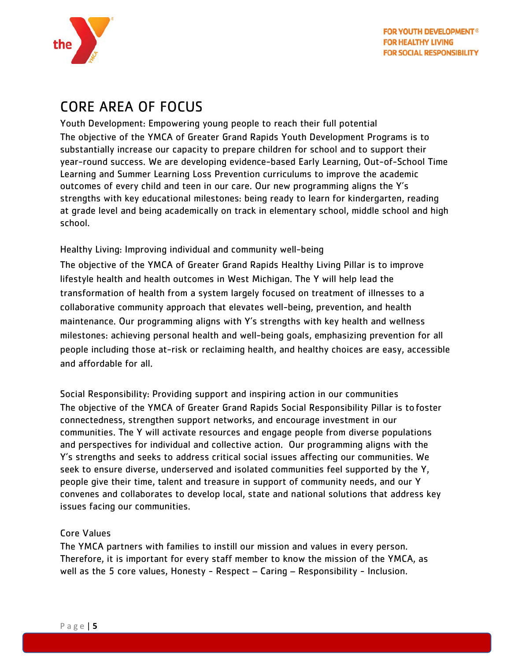

## <span id="page-5-0"></span>CORE AREA OF FOCUS

<span id="page-5-1"></span>Youth Development: Empowering young people to reach their full potential The objective of the YMCA of Greater Grand Rapids Youth Development Programs is to substantially increase our capacity to prepare children for school and to support their year-round success. We are developing evidence-based Early Learning, Out-of-School Time Learning and Summer Learning Loss Prevention curriculums to improve the academic outcomes of every child and teen in our care. Our new programming aligns the Y's strengths with key educational milestones: being ready to learn for kindergarten, reading at grade level and being academically on track in elementary school, middle school and high school.

<span id="page-5-2"></span>Healthy Living: Improving individual and community well-being

The objective of the YMCA of Greater Grand Rapids Healthy Living Pillar is to improve lifestyle health and health outcomes in West Michigan. The Y will help lead the transformation of health from a system largely focused on treatment of illnesses to a collaborative community approach that elevates well-being, prevention, and health maintenance. Our programming aligns with Y's strengths with key health and wellness milestones: achieving personal health and well-being goals, emphasizing prevention for all people including those at-risk or reclaiming health, and healthy choices are easy, accessible and affordable for all.

<span id="page-5-3"></span>Social Responsibility: Providing support and inspiring action in our communities The objective of the YMCA of Greater Grand Rapids Social Responsibility Pillar is to foster connectedness, strengthen support networks, and encourage investment in our communities. The Y will activate resources and engage people from diverse populations and perspectives for individual and collective action. Our programming aligns with the Y's strengths and seeks to address critical social issues affecting our communities. We seek to ensure diverse, underserved and isolated communities feel supported by the Y, people give their time, talent and treasure in support of community needs, and our Y convenes and collaborates to develop local, state and national solutions that address key issues facing our communities.

#### <span id="page-5-4"></span>Core Values

The YMCA partners with families to instill our mission and values in every person. Therefore, it is important for every staff member to know the mission of the YMCA, as well as the 5 core values, Honesty - Respect – Caring – Responsibility - Inclusion.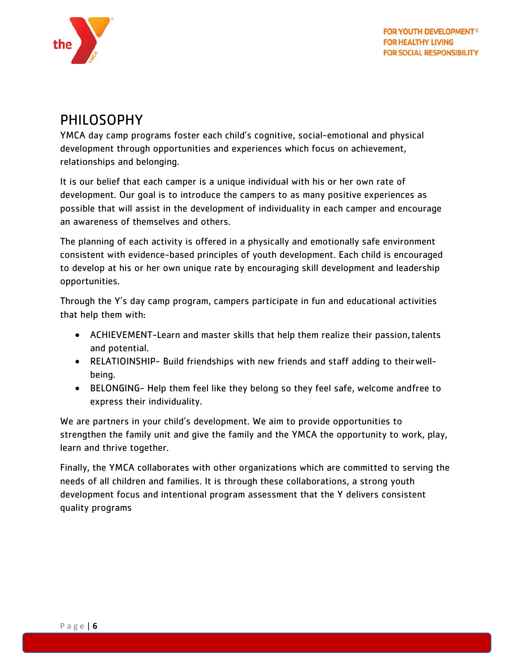

## PHILOSOPHY

YMCA day camp programs foster each child's cognitive, social-emotional and physical development through opportunities and experiences which focus on achievement, relationships and belonging.

It is our belief that each camper is a unique individual with his or her own rate of development. Our goal is to introduce the campers to as many positive experiences as possible that will assist in the development of individuality in each camper and encourage an awareness of themselves and others.

The planning of each activity is offered in a physically and emotionally safe environment consistent with evidence-based principles of youth development. Each child is encouraged to develop at his or her own unique rate by encouraging skill development and leadership opportunities.

Through the Y's day camp program, campers participate in fun and educational activities that help them with:

- ACHIEVEMENT-Learn and master skills that help them realize their passion,talents and potential.
- RELATIOINSHIP- Build friendships with new friends and staff adding to theirwellbeing.
- BELONGING- Help them feel like they belong so they feel safe, welcome andfree to express their individuality.

We are partners in your child's development. We aim to provide opportunities to strengthen the family unit and give the family and the YMCA the opportunity to work, play, learn and thrive together.

Finally, the YMCA collaborates with other organizations which are committed to serving the needs of all children and families. It is through these collaborations, a strong youth development focus and intentional program assessment that the Y delivers consistent quality programs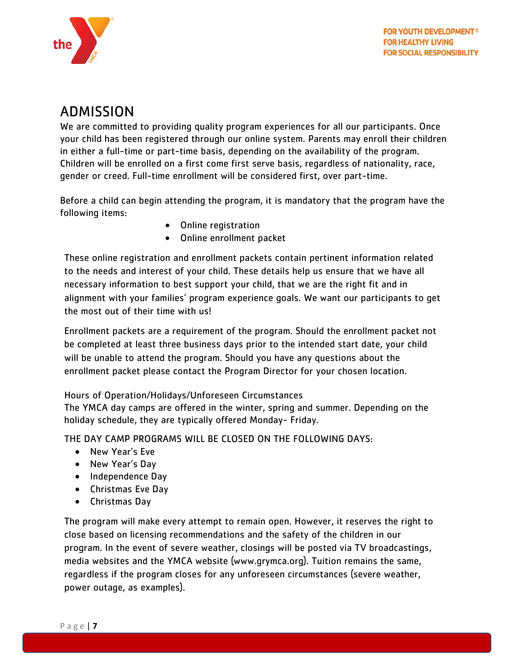

## <span id="page-7-0"></span>ADMISSION

We are committed to providing quality program experiences for all our participants. Once your child has been registered through our online system. Parents may enroll their children in either a full-time or part-time basis, depending on the availability of the program. Children will be enrolled on a first come first serve basis, regardless of nationality, race, gender or creed. Full-time enrollment will be considered first, over part-time.

Before a child can begin attending the program, it is mandatory that the program have the following items:

- Online registration
- Online enrollment packet

These online registration and enrollment packets contain pertinent information related to the needs and interest of your child. These details help us ensure that we have all necessary information to best support your child, that we are the right fit and in alignment with your families' program experience goals. We want our participants to get the most out of their time with us!

Enrollment packets are a requirement of the program. Should the enrollment packet not be completed at least three business days prior to the intended start date, your child will be unable to attend the program. Should you have any questions about the enrollment packet please contact the Program Director for your chosen location.

<span id="page-7-1"></span>Hours of Operation/Holidays/Unforeseen Circumstances

The YMCA day camps are offered in the winter, spring and summer. Depending on the holiday schedule, they are typically offered Monday- Friday.

THE DAY CAMP PROGRAMS WILL BE CLOSED ON THE FOLLOWING DAYS:

- New Year's Eve
- New Year's Day
- Independence Day
- Christmas Eve Day
- Christmas Day

The program will make every attempt to remain open. However, it reserves the right to close based on licensing recommendations and the safety of the children in our program. In the event of severe weather, closings will be posted via TV broadcastings, media websites and the YMCA website (www.grymca.org). Tuition remains the same, regardless if the program closes for any unforeseen circumstances (severe weather, power outage, as examples).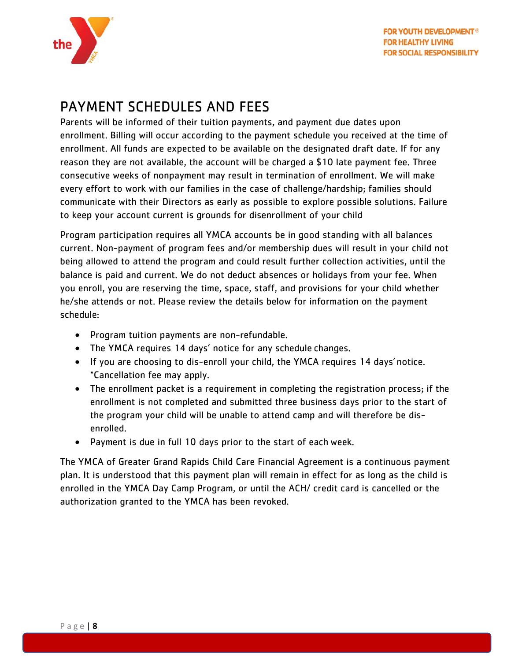

## <span id="page-8-0"></span>PAYMENT SCHEDULES AND FEES

Parents will be informed of their tuition payments, and payment due dates upon enrollment. Billing will occur according to the payment schedule you received at the time of enrollment. All funds are expected to be available on the designated draft date. If for any reason they are not available, the account will be charged a \$10 late payment fee. Three consecutive weeks of nonpayment may result in termination of enrollment. We will make every effort to work with our families in the case of challenge/hardship; families should communicate with their Directors as early as possible to explore possible solutions. Failure to keep your account current is grounds for disenrollment of your child

Program participation requires all YMCA accounts be in good standing with all balances current. Non-payment of program fees and/or membership dues will result in your child not being allowed to attend the program and could result further collection activities, until the balance is paid and current. We do not deduct absences or holidays from your fee. When you enroll, you are reserving the time, space, staff, and provisions for your child whether he/she attends or not. Please review the details below for information on the payment schedule:

- Program tuition payments are non-refundable.
- The YMCA requires 14 days' notice for any schedule changes.
- If you are choosing to dis-enroll your child, the YMCA requires 14 days' notice. \*Cancellation fee may apply.
- The enrollment packet is a requirement in completing the registration process; if the enrollment is not completed and submitted three business days prior to the start of the program your child will be unable to attend camp and will therefore be disenrolled.
- Payment is due in full 10 days prior to the start of each week.

The YMCA of Greater Grand Rapids Child Care Financial Agreement is a continuous payment plan. It is understood that this payment plan will remain in effect for as long as the child is enrolled in the YMCA Day Camp Program, or until the ACH/ credit card is cancelled or the authorization granted to the YMCA has been revoked.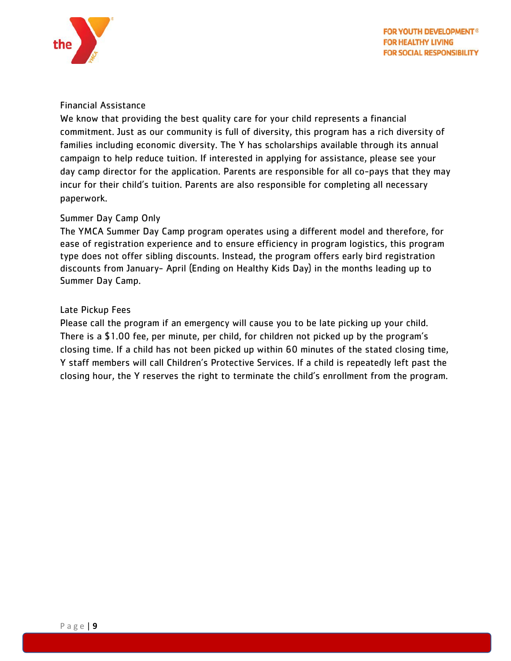

#### <span id="page-9-0"></span>Financial Assistance

We know that providing the best quality care for your child represents a financial commitment. Just as our community is full of diversity, this program has a rich diversity of families including economic diversity. The Y has scholarships available through its annual campaign to help reduce tuition. If interested in applying for assistance, please see your day camp director for the application. Parents are responsible for all co-pays that they may incur for their child's tuition. Parents are also responsible for completing all necessary paperwork.

#### <span id="page-9-1"></span>Summer Day Camp Only

The YMCA Summer Day Camp program operates using a different model and therefore, for ease of registration experience and to ensure efficiency in program logistics, this program type does not offer sibling discounts. Instead, the program offers early bird registration discounts from January- April (Ending on Healthy Kids Day) in the months leading up to Summer Day Camp.

#### <span id="page-9-2"></span>Late Pickup Fees

Please call the program if an emergency will cause you to be late picking up your child. There is a \$1.00 fee, per minute, per child, for children not picked up by the program's closing time. If a child has not been picked up within 60 minutes of the stated closing time, Y staff members will call Children's Protective Services. If a child is repeatedly left past the closing hour, the Y reserves the right to terminate the child's enrollment from the program.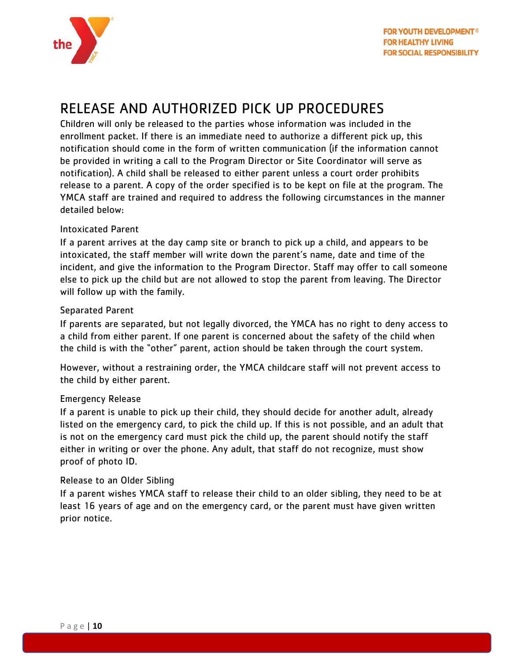

## <span id="page-10-0"></span>RELEASE AND AUTHORIZED PICK UP PROCEDURES

Children will only be released to the parties whose information was included in the enrollment packet. If there is an immediate need to authorize a different pick up, this notification should come in the form of written communication (if the information cannot be provided in writing a call to the Program Director or Site Coordinator will serve as notification). A child shall be released to either parent unless a court order prohibits release to a parent. A copy of the order specified is to be kept on file at the program. The YMCA staff are trained and required to address the following circumstances in the manner detailed below:

#### <span id="page-10-1"></span>Intoxicated Parent

If a parent arrives at the day camp site or branch to pick up a child, and appears to be intoxicated, the staff member will write down the parent's name, date and time of the incident, and give the information to the Program Director. Staff may offer to call someone else to pick up the child but are not allowed to stop the parent from leaving. The Director will follow up with the family.

#### <span id="page-10-2"></span>Separated Parent

If parents are separated, but not legally divorced, the YMCA has no right to deny access to a child from either parent. If one parent is concerned about the safety of the child when the child is with the "other" parent, action should be taken through the court system.

However, without a restraining order, the YMCA childcare staff will not prevent access to the child by either parent.

#### <span id="page-10-3"></span>Emergency Release

If a parent is unable to pick up their child, they should decide for another adult, already listed on the emergency card, to pick the child up. If this is not possible, and an adult that is not on the emergency card must pick the child up, the parent should notify the staff either in writing or over the phone. Any adult, that staff do not recognize, must show proof of photo ID.

#### <span id="page-10-4"></span>Release to an Older Sibling

If a parent wishes YMCA staff to release their child to an older sibling, they need to be at least 16 years of age and on the emergency card, or the parent must have given written prior notice.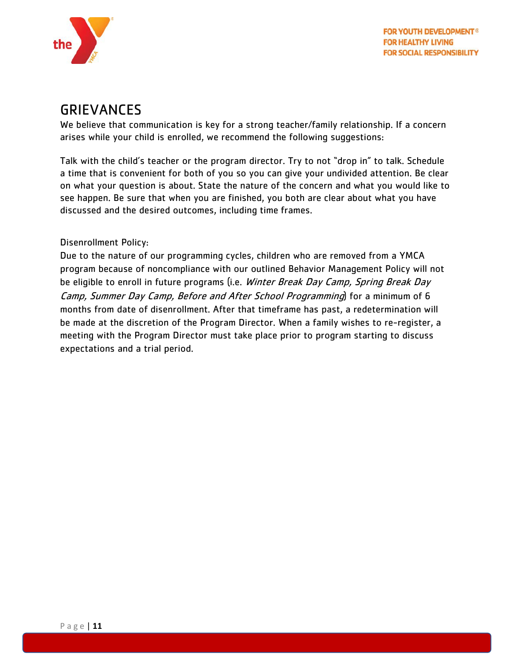

## <span id="page-11-0"></span>GRIEVANCES

We believe that communication is key for a strong teacher/family relationship. If a concern arises while your child is enrolled, we recommend the following suggestions:

Talk with the child's teacher or the program director. Try to not "drop in" to talk. Schedule a time that is convenient for both of you so you can give your undivided attention. Be clear on what your question is about. State the nature of the concern and what you would like to see happen. Be sure that when you are finished, you both are clear about what you have discussed and the desired outcomes, including time frames.

#### <span id="page-11-1"></span>Disenrollment Policy:

Due to the nature of our programming cycles, children who are removed from a YMCA program because of noncompliance with our outlined Behavior Management Policy will not be eligible to enroll in future programs (i.e. Winter Break Day Camp, Spring Break Day Camp, Summer Day Camp, Before and After School Programming) for a minimum of 6 months from date of disenrollment. After that timeframe has past, a redetermination will be made at the discretion of the Program Director. When a family wishes to re-register, a meeting with the Program Director must take place prior to program starting to discuss expectations and a trial period.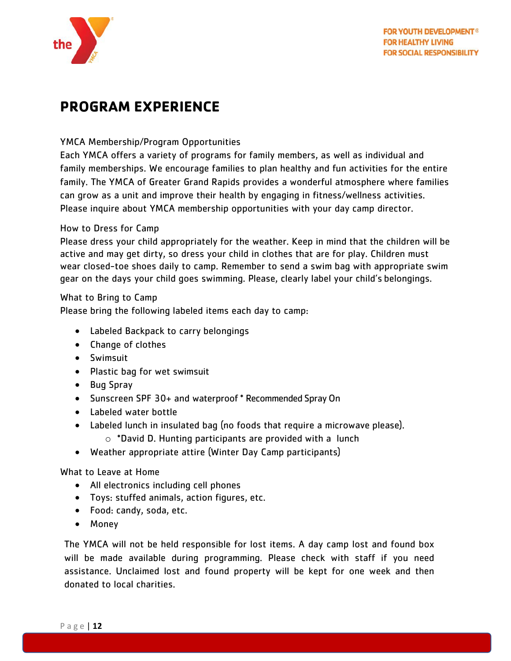

## <span id="page-12-0"></span>**PROGRAM EXPERIENCE**

#### <span id="page-12-1"></span>YMCA Membership/Program Opportunities

Each YMCA offers a variety of programs for family members, as well as individual and family memberships. We encourage families to plan healthy and fun activities for the entire family. The YMCA of Greater Grand Rapids provides a wonderful atmosphere where families can grow as a unit and improve their health by engaging in fitness/wellness activities. Please inquire about YMCA membership opportunities with your day camp director.

#### <span id="page-12-2"></span>How to Dress for Camp

Please dress your child appropriately for the weather. Keep in mind that the children will be active and may get dirty, so dress your child in clothes that are for play. Children must wear closed-toe shoes daily to camp. Remember to send a swim bag with appropriate swim gear on the days your child goes swimming. Please, clearly label your child's belongings.

<span id="page-12-3"></span>What to Bring to Camp

Please bring the following labeled items each day to camp:

- Labeled Backpack to carry belongings
- Change of clothes
- Swimsuit
- Plastic bag for wet swimsuit
- Bug Spray
- Sunscreen SPF 30+ and waterproof \* Recommended SprayOn
- Labeled water bottle
- Labeled lunch in insulated bag (no foods that require a microwave please).
	- $\circ$  \*David D. Hunting participants are provided with a lunch
- Weather appropriate attire (Winter Day Camp participants)

<span id="page-12-4"></span>What to Leave at Home

- All electronics including cell phones
- Toys: stuffed animals, action figures, etc.
- Food: candy, soda, etc.
- Money

The YMCA will not be held responsible for lost items. A day camp lost and found box will be made available during programming. Please check with staff if you need assistance. Unclaimed lost and found property will be kept for one week and then donated to local charities.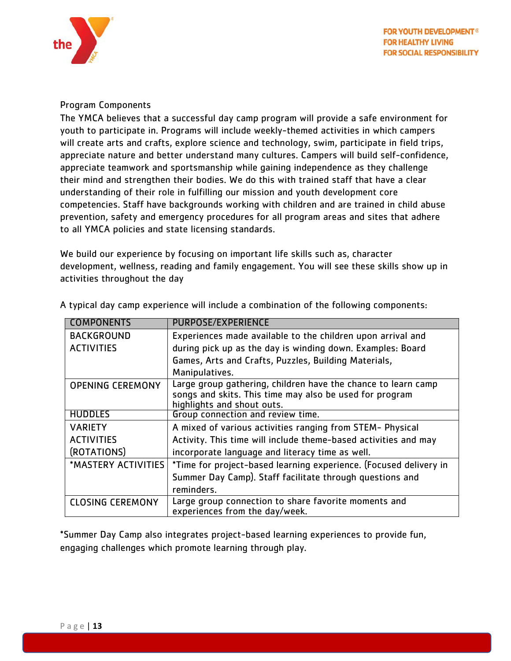

#### <span id="page-13-0"></span>Program Components

The YMCA believes that a successful day camp program will provide a safe environment for youth to participate in. Programs will include weekly-themed activities in which campers will create arts and crafts, explore science and technology, swim, participate in field trips, appreciate nature and better understand many cultures. Campers will build self-confidence, appreciate teamwork and sportsmanship while gaining independence as they challenge their mind and strengthen their bodies. We do this with trained staff that have a clear understanding of their role in fulfilling our mission and youth development core competencies. Staff have backgrounds working with children and are trained in child abuse prevention, safety and emergency procedures for all program areas and sites that adhere to all YMCA policies and state licensing standards.

We build our experience by focusing on important life skills such as, character development, wellness, reading and family engagement. You will see these skills show up in activities throughout the day

| <b>COMPONENTS</b>       | <b>PURPOSE/EXPERIENCE</b>                                                                                                |
|-------------------------|--------------------------------------------------------------------------------------------------------------------------|
| <b>BACKGROUND</b>       | Experiences made available to the children upon arrival and                                                              |
| <b>ACTIVITIES</b>       | during pick up as the day is winding down. Examples: Board                                                               |
|                         | Games, Arts and Crafts, Puzzles, Building Materials,                                                                     |
|                         | Manipulatives.                                                                                                           |
| <b>OPENING CEREMONY</b> | Large group gathering, children have the chance to learn camp<br>songs and skits. This time may also be used for program |
|                         | highlights and shout outs.                                                                                               |
| <b>HUDDLES</b>          | Group connection and review time.                                                                                        |
| <b>VARIETY</b>          | A mixed of various activities ranging from STEM- Physical                                                                |
| <b>ACTIVITIES</b>       | Activity. This time will include theme-based activities and may                                                          |
| (ROTATIONS)             | incorporate language and literacy time as well.                                                                          |
| *MASTERY ACTIVITIES     | *Time for project-based learning experience. (Focused delivery in                                                        |
|                         | Summer Day Camp). Staff facilitate through questions and                                                                 |
|                         | reminders.                                                                                                               |
| <b>CLOSING CEREMONY</b> | Large group connection to share favorite moments and<br>experiences from the day/week.                                   |

A typical day camp experience will include a combination of the following components:

\*Summer Day Camp also integrates project-based learning experiences to provide fun, engaging challenges which promote learning through play.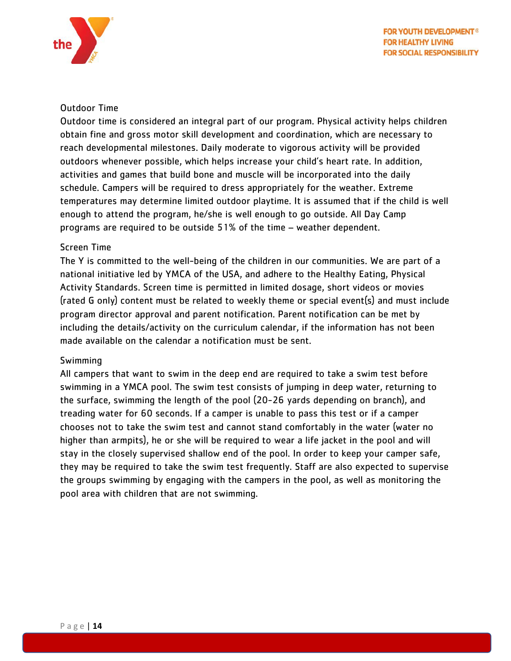

#### <span id="page-14-0"></span>Outdoor Time

Outdoor time is considered an integral part of our program. Physical activity helps children obtain fine and gross motor skill development and coordination, which are necessary to reach developmental milestones. Daily moderate to vigorous activity will be provided outdoors whenever possible, which helps increase your child's heart rate. In addition, activities and games that build bone and muscle will be incorporated into the daily schedule. Campers will be required to dress appropriately for the weather. Extreme temperatures may determine limited outdoor playtime. It is assumed that if the child is well enough to attend the program, he/she is well enough to go outside. All Day Camp programs are required to be outside 51% of the time – weather dependent.

#### <span id="page-14-1"></span>Screen Time

The Y is committed to the well-being of the children in our communities. We are part of a national initiative led by YMCA of the USA, and adhere to the Healthy Eating, Physical Activity Standards. Screen time is permitted in limited dosage, short videos or movies (rated G only) content must be related to weekly theme or special event(s) and must include program director approval and parent notification. Parent notification can be met by including the details/activity on the curriculum calendar, if the information has not been made available on the calendar a notification must be sent.

#### <span id="page-14-2"></span>Swimming

All campers that want to swim in the deep end are required to take a swim test before swimming in a YMCA pool. The swim test consists of jumping in deep water, returning to the surface, swimming the length of the pool (20-26 yards depending on branch), and treading water for 60 seconds. If a camper is unable to pass this test or if a camper chooses not to take the swim test and cannot stand comfortably in the water (water no higher than armpits), he or she will be required to wear a life jacket in the pool and will stay in the closely supervised shallow end of the pool. In order to keep your camper safe, they may be required to take the swim test frequently. Staff are also expected to supervise the groups swimming by engaging with the campers in the pool, as well as monitoring the pool area with children that are not swimming.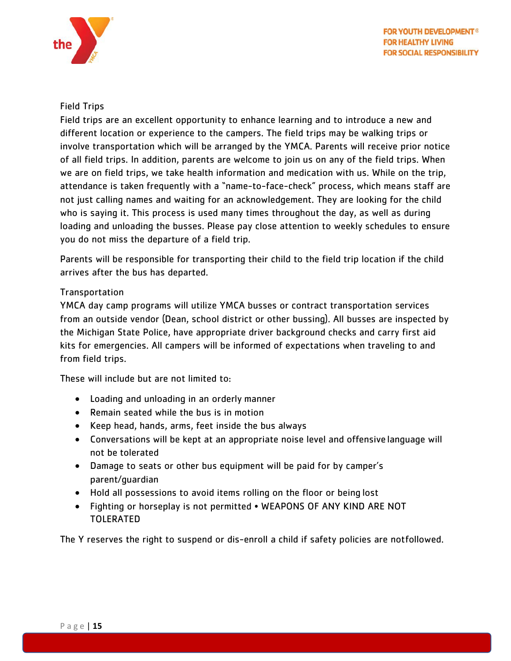

#### <span id="page-15-0"></span>Field Trips

Field trips are an excellent opportunity to enhance learning and to introduce a new and different location or experience to the campers. The field trips may be walking trips or involve transportation which will be arranged by the YMCA. Parents will receive prior notice of all field trips. In addition, parents are welcome to join us on any of the field trips. When we are on field trips, we take health information and medication with us. While on the trip, attendance is taken frequently with a "name-to-face-check" process, which means staff are not just calling names and waiting for an acknowledgement. They are looking for the child who is saying it. This process is used many times throughout the day, as well as during loading and unloading the busses. Please pay close attention to weekly schedules to ensure you do not miss the departure of a field trip.

Parents will be responsible for transporting their child to the field trip location if the child arrives after the bus has departed.

#### <span id="page-15-1"></span>**Transportation**

YMCA day camp programs will utilize YMCA busses or contract transportation services from an outside vendor (Dean, school district or other bussing). All busses are inspected by the Michigan State Police, have appropriate driver background checks and carry first aid kits for emergencies. All campers will be informed of expectations when traveling to and from field trips.

These will include but are not limited to:

- Loading and unloading in an orderly manner
- Remain seated while the bus is in motion
- Keep head, hands, arms, feet inside the bus always
- Conversations will be kept at an appropriate noise level and offensive language will not be tolerated
- Damage to seats or other bus equipment will be paid for by camper's parent/guardian
- Hold all possessions to avoid items rolling on the floor or being lost
- Fighting or horseplay is not permitted WEAPONS OF ANY KIND ARE NOT TOLERATED

The Y reserves the right to suspend or dis-enroll a child if safety policies are notfollowed.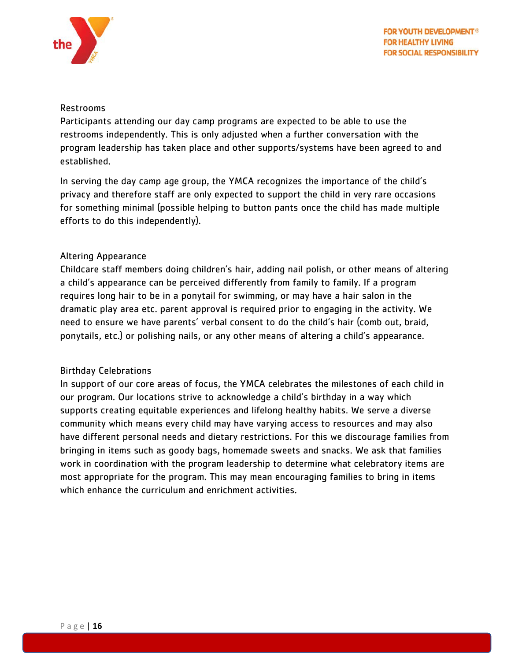

#### <span id="page-16-0"></span>Restrooms

Participants attending our day camp programs are expected to be able to use the restrooms independently. This is only adjusted when a further conversation with the program leadership has taken place and other supports/systems have been agreed to and established.

In serving the day camp age group, the YMCA recognizes the importance of the child's privacy and therefore staff are only expected to support the child in very rare occasions for something minimal (possible helping to button pants once the child has made multiple efforts to do this independently).

#### <span id="page-16-1"></span>Altering Appearance

Childcare staff members doing children's hair, adding nail polish, or other means of altering a child's appearance can be perceived differently from family to family. If a program requires long hair to be in a ponytail for swimming, or may have a hair salon in the dramatic play area etc. parent approval is required prior to engaging in the activity. We need to ensure we have parents' verbal consent to do the child's hair (comb out, braid, ponytails, etc.) or polishing nails, or any other means of altering a child's appearance.

#### <span id="page-16-2"></span>Birthday Celebrations

In support of our core areas of focus, the YMCA celebrates the milestones of each child in our program. Our locations strive to acknowledge a child's birthday in a way which supports creating equitable experiences and lifelong healthy habits. We serve a diverse community which means every child may have varying access to resources and may also have different personal needs and dietary restrictions. For this we discourage families from bringing in items such as goody bags, homemade sweets and snacks. We ask that families work in coordination with the program leadership to determine what celebratory items are most appropriate for the program. This may mean encouraging families to bring in items which enhance the curriculum and enrichment activities.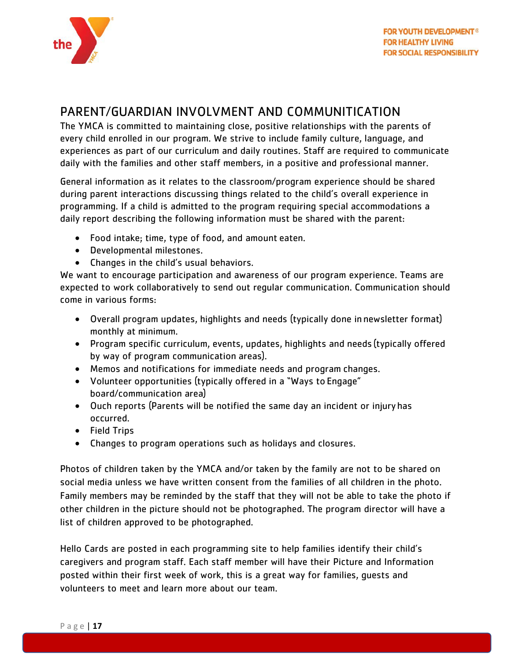

## <span id="page-17-0"></span>PARENT/GUARDIAN INVOLVMENT AND COMMUNITICATION

The YMCA is committed to maintaining close, positive relationships with the parents of every child enrolled in our program. We strive to include family culture, language, and experiences as part of our curriculum and daily routines. Staff are required to communicate daily with the families and other staff members, in a positive and professional manner.

General information as it relates to the classroom/program experience should be shared during parent interactions discussing things related to the child's overall experience in programming. If a child is admitted to the program requiring special accommodations a daily report describing the following information must be shared with the parent:

- Food intake; time, type of food, and amount eaten.
- Developmental milestones.
- Changes in the child's usual behaviors.

We want to encourage participation and awareness of our program experience. Teams are expected to work collaboratively to send out regular communication. Communication should come in various forms:

- Overall program updates, highlights and needs (typically done in newsletter format) monthly at minimum.
- Program specific curriculum, events, updates, highlights and needs (typically offered by way of program communication areas).
- Memos and notifications for immediate needs and program changes.
- Volunteer opportunities (typically offered in a "Ways to Engage" board/communication area)
- Ouch reports (Parents will be notified the same day an incident or injury has occurred.
- Field Trips
- Changes to program operations such as holidays and closures.

Photos of children taken by the YMCA and/or taken by the family are not to be shared on social media unless we have written consent from the families of all children in the photo. Family members may be reminded by the staff that they will not be able to take the photo if other children in the picture should not be photographed. The program director will have a list of children approved to be photographed.

Hello Cards are posted in each programming site to help families identify their child's caregivers and program staff. Each staff member will have their Picture and Information posted within their first week of work, this is a great way for families, guests and volunteers to meet and learn more about our team.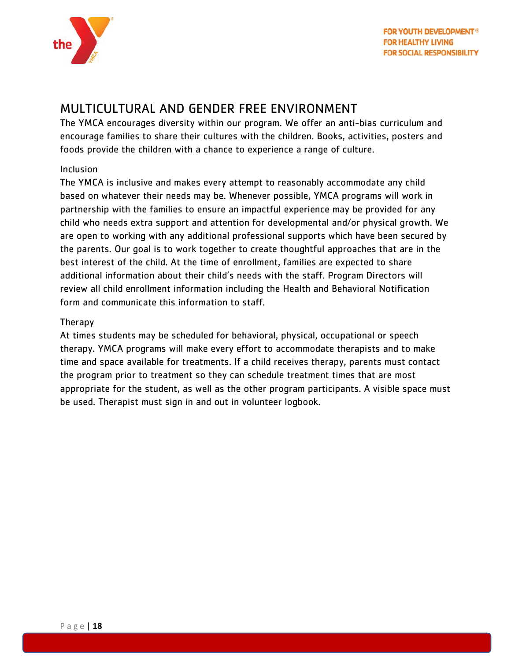

### <span id="page-18-0"></span>MULTICULTURAL AND GENDER FREE ENVIRONMENT

The YMCA encourages diversity within our program. We offer an anti-bias curriculum and encourage families to share their cultures with the children. Books, activities, posters and foods provide the children with a chance to experience a range of culture.

#### <span id="page-18-1"></span>Inclusion

The YMCA is inclusive and makes every attempt to reasonably accommodate any child based on whatever their needs may be. Whenever possible, YMCA programs will work in partnership with the families to ensure an impactful experience may be provided for any child who needs extra support and attention for developmental and/or physical growth. We are open to working with any additional professional supports which have been secured by the parents. Our goal is to work together to create thoughtful approaches that are in the best interest of the child. At the time of enrollment, families are expected to share additional information about their child's needs with the staff. Program Directors will review all child enrollment information including the Health and Behavioral Notification form and communicate this information to staff.

#### <span id="page-18-2"></span>Therapy

At times students may be scheduled for behavioral, physical, occupational or speech therapy. YMCA programs will make every effort to accommodate therapists and to make time and space available for treatments. If a child receives therapy, parents must contact the program prior to treatment so they can schedule treatment times that are most appropriate for the student, as well as the other program participants. A visible space must be used. Therapist must sign in and out in volunteer logbook.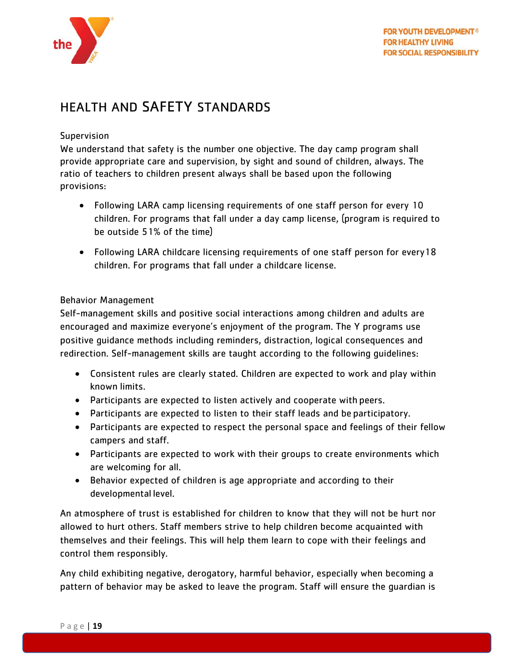

## <span id="page-19-0"></span>HEALTH AND SAFETY STANDARDS

#### <span id="page-19-1"></span>**Supervision**

We understand that safety is the number one objective. The day camp program shall provide appropriate care and supervision, by sight and sound of children, always. The ratio of teachers to children present always shall be based upon the following provisions:

- Following LARA camp licensing requirements of one staff person for every 10 children. For programs that fall under a day camp license, (program is required to be outside 51% of the time)
- Following LARA childcare licensing requirements of one staff person for every18 children. For programs that fall under a childcare license.

#### <span id="page-19-2"></span>Behavior Management

Self-management skills and positive social interactions among children and adults are encouraged and maximize everyone's enjoyment of the program. The Y programs use positive guidance methods including reminders, distraction, logical consequences and redirection. Self-management skills are taught according to the following guidelines:

- Consistent rules are clearly stated. Children are expected to work and play within known limits.
- Participants are expected to listen actively and cooperate with peers.
- Participants are expected to listen to their staff leads and be participatory.
- Participants are expected to respect the personal space and feelings of their fellow campers and staff.
- Participants are expected to work with their groups to create environments which are welcoming for all.
- Behavior expected of children is age appropriate and according to their developmental level.

An atmosphere of trust is established for children to know that they will not be hurt nor allowed to hurt others. Staff members strive to help children become acquainted with themselves and their feelings. This will help them learn to cope with their feelings and control them responsibly.

Any child exhibiting negative, derogatory, harmful behavior, especially when becoming a pattern of behavior may be asked to leave the program. Staff will ensure the guardian is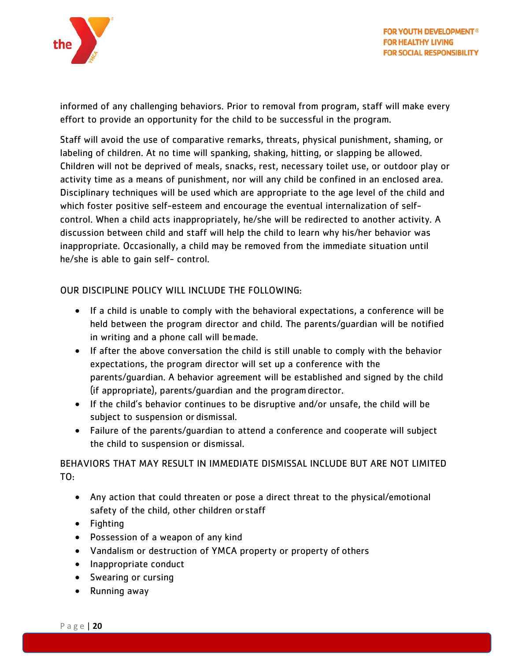

informed of any challenging behaviors. Prior to removal from program, staff will make every effort to provide an opportunity for the child to be successful in the program.

Staff will avoid the use of comparative remarks, threats, physical punishment, shaming, or labeling of children. At no time will spanking, shaking, hitting, or slapping be allowed. Children will not be deprived of meals, snacks, rest, necessary toilet use, or outdoor play or activity time as a means of punishment, nor will any child be confined in an enclosed area. Disciplinary techniques will be used which are appropriate to the age level of the child and which foster positive self-esteem and encourage the eventual internalization of selfcontrol. When a child acts inappropriately, he/she will be redirected to another activity. A discussion between child and staff will help the child to learn why his/her behavior was inappropriate. Occasionally, a child may be removed from the immediate situation until he/she is able to gain self- control.

#### OUR DISCIPLINE POLICY WILL INCLUDE THE FOLLOWING:

- If a child is unable to comply with the behavioral expectations, a conference will be held between the program director and child. The parents/guardian will be notified in writing and a phone call will bemade.
- If after the above conversation the child is still unable to comply with the behavior expectations, the program director will set up a conference with the parents/guardian. A behavior agreement will be established and signed by the child (if appropriate), parents/guardian and the programdirector.
- If the child's behavior continues to be disruptive and/or unsafe, the child will be subject to suspension or dismissal.
- Failure of the parents/guardian to attend a conference and cooperate will subject the child to suspension or dismissal.

#### BEHAVIORS THAT MAY RESULT IN IMMEDIATE DISMISSAL INCLUDE BUT ARE NOT LIMITED TO:

- Any action that could threaten or pose a direct threat to the physical/emotional safety of the child, other children orstaff
- Fighting
- Possession of a weapon of any kind
- Vandalism or destruction of YMCA property or property of others
- Inappropriate conduct
- Swearing or cursing
- Running away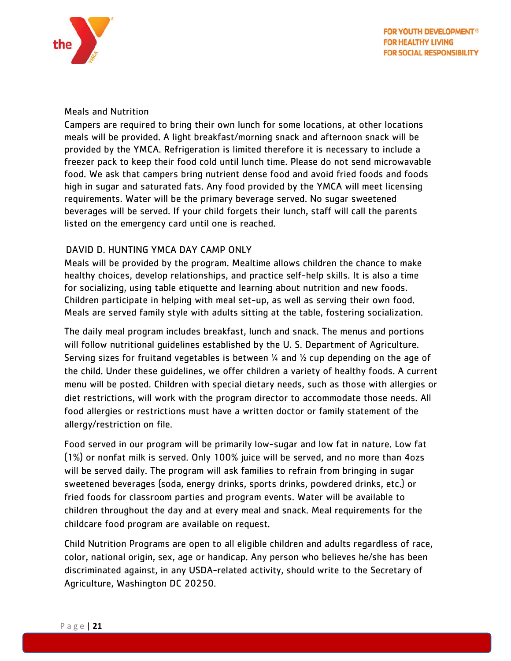

#### <span id="page-21-0"></span>Meals and Nutrition

Campers are required to bring their own lunch for some locations, at other locations meals will be provided. A light breakfast/morning snack and afternoon snack will be provided by the YMCA. Refrigeration is limited therefore it is necessary to include a freezer pack to keep their food cold until lunch time. Please do not send microwavable food. We ask that campers bring nutrient dense food and avoid fried foods and foods high in sugar and saturated fats. Any food provided by the YMCA will meet licensing requirements. Water will be the primary beverage served. No sugar sweetened beverages will be served. If your child forgets their lunch, staff will call the parents listed on the emergency card until one is reached.

#### <span id="page-21-1"></span>DAVID D. HUNTING YMCA DAY CAMP ONLY

Meals will be provided by the program. Mealtime allows children the chance to make healthy choices, develop relationships, and practice self-help skills. It is also a time for socializing, using table etiquette and learning about nutrition and new foods. Children participate in helping with meal set-up, as well as serving their own food. Meals are served family style with adults sitting at the table, fostering socialization.

The daily meal program includes breakfast, lunch and snack. The menus and portions will follow nutritional guidelines established by the U. S. Department of Agriculture. Serving sizes for fruitand vegetables is between  $\frac{1}{4}$  and  $\frac{1}{2}$  cup depending on the age of the child. Under these guidelines, we offer children a variety of healthy foods. A current menu will be posted. Children with special dietary needs, such as those with allergies or diet restrictions, will work with the program director to accommodate those needs. All food allergies or restrictions must have a written doctor or family statement of the allergy/restriction on file.

Food served in our program will be primarily low-sugar and low fat in nature. Low fat (1%) or nonfat milk is served. Only 100% juice will be served, and no more than 4ozs will be served daily. The program will ask families to refrain from bringing in sugar sweetened beverages (soda, energy drinks, sports drinks, powdered drinks, etc.) or fried foods for classroom parties and program events. Water will be available to children throughout the day and at every meal and snack. Meal requirements for the childcare food program are available on request.

Child Nutrition Programs are open to all eligible children and adults regardless of race, color, national origin, sex, age or handicap. Any person who believes he/she has been discriminated against, in any USDA-related activity, should write to the Secretary of Agriculture, Washington DC 20250.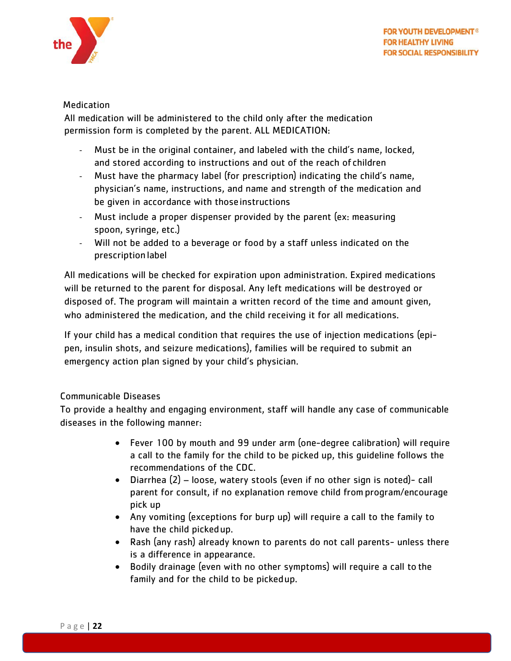

#### <span id="page-22-0"></span>**Medication**

All medication will be administered to the child only after the medication permission form is completed by the parent. ALL MEDICATION:

- Must be in the original container, and labeled with the child's name, locked, and stored according to instructions and out of the reach of children
- Must have the pharmacy label (for prescription) indicating the child's name, physician's name, instructions, and name and strength of the medication and be given in accordance with thoseinstructions
- Must include a proper dispenser provided by the parent (ex: measuring spoon, syringe, etc.)
- Will not be added to a beverage or food by a staff unless indicated on the prescription label

All medications will be checked for expiration upon administration. Expired medications will be returned to the parent for disposal. Any left medications will be destroyed or disposed of. The program will maintain a written record of the time and amount given, who administered the medication, and the child receiving it for all medications.

If your child has a medical condition that requires the use of injection medications (epipen, insulin shots, and seizure medications), families will be required to submit an emergency action plan signed by your child's physician.

#### <span id="page-22-1"></span>Communicable Diseases

To provide a healthy and engaging environment, staff will handle any case of communicable diseases in the following manner:

- Fever 100 by mouth and 99 under arm (one-degree calibration) will require a call to the family for the child to be picked up, this guideline follows the recommendations of the CDC.
- Diarrhea (2) loose, watery stools (even if no other sign is noted)- call parent for consult, if no explanation remove child from program/encourage pick up
- Any vomiting (exceptions for burp up) will require a call to the family to have the child pickedup.
- Rash (any rash) already known to parents do not call parents- unless there is a difference in appearance.
- Bodily drainage (even with no other symptoms) will require a call to the family and for the child to be pickedup.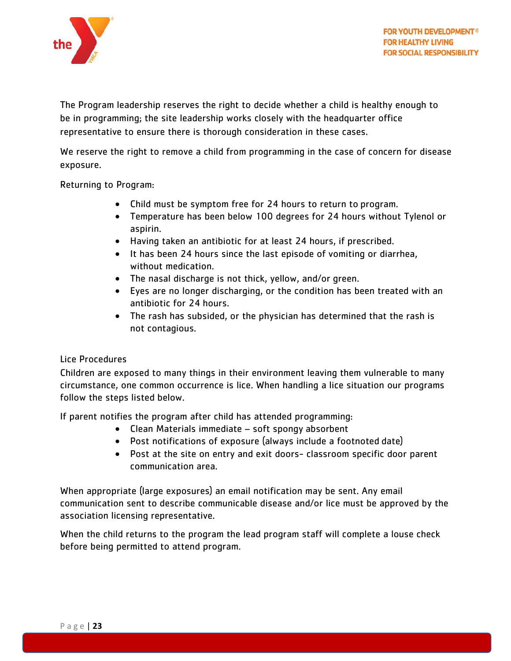

The Program leadership reserves the right to decide whether a child is healthy enough to be in programming; the site leadership works closely with the headquarter office representative to ensure there is thorough consideration in these cases.

We reserve the right to remove a child from programming in the case of concern for disease exposure.

Returning to Program:

- Child must be symptom free for 24 hours to return to program.
- Temperature has been below 100 degrees for 24 hours without Tylenol or aspirin.
- Having taken an antibiotic for at least 24 hours, if prescribed.
- It has been 24 hours since the last episode of vomiting or diarrhea, without medication.
- The nasal discharge is not thick, yellow, and/or green.
- Eyes are no longer discharging, or the condition has been treated with an antibiotic for 24 hours.
- The rash has subsided, or the physician has determined that the rash is not contagious.

#### <span id="page-23-0"></span>Lice Procedures

Children are exposed to many things in their environment leaving them vulnerable to many circumstance, one common occurrence is lice. When handling a lice situation our programs follow the steps listed below.

If parent notifies the program after child has attended programming:

- Clean Materials immediate soft spongy absorbent
- Post notifications of exposure (always include a footnoted date)
- Post at the site on entry and exit doors- classroom specific door parent communication area.

When appropriate (large exposures) an email notification may be sent. Any email communication sent to describe communicable disease and/or lice must be approved by the association licensing representative.

When the child returns to the program the lead program staff will complete a louse check before being permitted to attend program.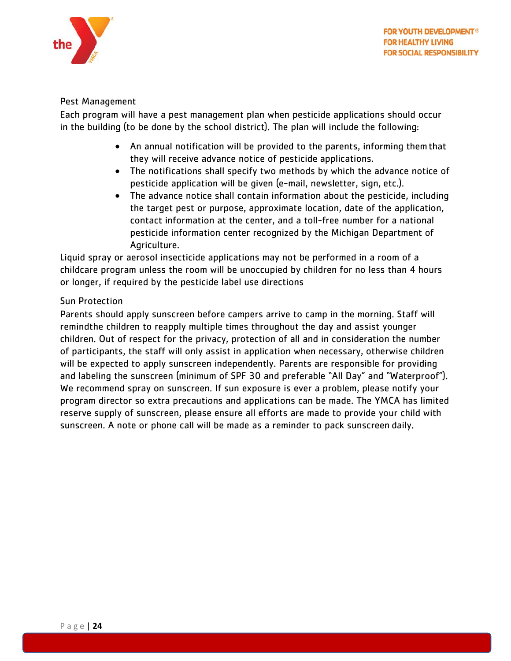

#### <span id="page-24-0"></span>Pest Management

Each program will have a pest management plan when pesticide applications should occur in the building (to be done by the school district). The plan will include the following:

- An annual notification will be provided to the parents, informing themthat they will receive advance notice of pesticide applications.
- The notifications shall specify two methods by which the advance notice of pesticide application will be given (e-mail, newsletter, sign, etc.).
- The advance notice shall contain information about the pesticide, including the target pest or purpose, approximate location, date of the application, contact information at the center, and a toll-free number for a national pesticide information center recognized by the Michigan Department of Agriculture.

Liquid spray or aerosol insecticide applications may not be performed in a room of a childcare program unless the room will be unoccupied by children for no less than 4 hours or longer, if required by the pesticide label use directions

#### <span id="page-24-1"></span>Sun Protection

Parents should apply sunscreen before campers arrive to camp in the morning. Staff will remindthe children to reapply multiple times throughout the day and assist younger children. Out of respect for the privacy, protection of all and in consideration the number of participants, the staff will only assist in application when necessary, otherwise children will be expected to apply sunscreen independently. Parents are responsible for providing and labeling the sunscreen (minimum of SPF 30 and preferable "All Day" and "Waterproof"). We recommend spray on sunscreen. If sun exposure is ever a problem, please notify your program director so extra precautions and applications can be made. The YMCA has limited reserve supply of sunscreen, please ensure all efforts are made to provide your child with sunscreen. A note or phone call will be made as a reminder to pack sunscreen daily.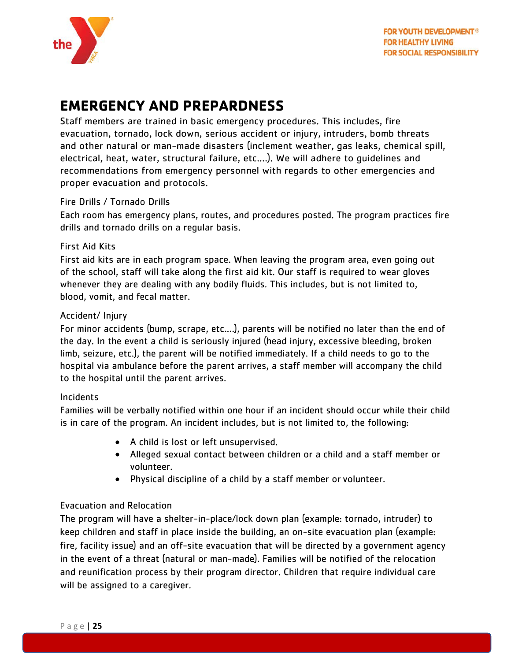

## <span id="page-25-0"></span>**EMERGENCY AND PREPARDNESS**

Staff members are trained in basic emergency procedures. This includes, fire evacuation, tornado, lock down, serious accident or injury, intruders, bomb threats and other natural or man-made disasters (inclement weather, gas leaks, chemical spill, electrical, heat, water, structural failure, etc.…). We will adhere to guidelines and recommendations from emergency personnel with regards to other emergencies and proper evacuation and protocols.

#### <span id="page-25-1"></span>Fire Drills / Tornado Drills

Each room has emergency plans, routes, and procedures posted. The program practices fire drills and tornado drills on a regular basis.

#### <span id="page-25-2"></span>First Aid Kits

First aid kits are in each program space. When leaving the program area, even going out of the school, staff will take along the first aid kit. Our staff is required to wear gloves whenever they are dealing with any bodily fluids. This includes, but is not limited to, blood, vomit, and fecal matter.

#### <span id="page-25-3"></span>Accident/ Injury

For minor accidents (bump, scrape, etc.…), parents will be notified no later than the end of the day. In the event a child is seriously injured (head injury, excessive bleeding, broken limb, seizure, etc.), the parent will be notified immediately. If a child needs to go to the hospital via ambulance before the parent arrives, a staff member will accompany the child to the hospital until the parent arrives.

#### <span id="page-25-4"></span>Incidents

Families will be verbally notified within one hour if an incident should occur while their child is in care of the program. An incident includes, but is not limited to, the following:

- A child is lost or left unsupervised.
- Alleged sexual contact between children or a child and a staff member or volunteer.
- Physical discipline of a child by a staff member or volunteer.

#### <span id="page-25-5"></span>Evacuation and Relocation

The program will have a shelter-in-place/lock down plan (example: tornado, intruder) to keep children and staff in place inside the building, an on-site evacuation plan (example: fire, facility issue) and an off-site evacuation that will be directed by a government agency in the event of a threat (natural or man-made). Families will be notified of the relocation and reunification process by their program director. Children that require individual care will be assigned to a caregiver.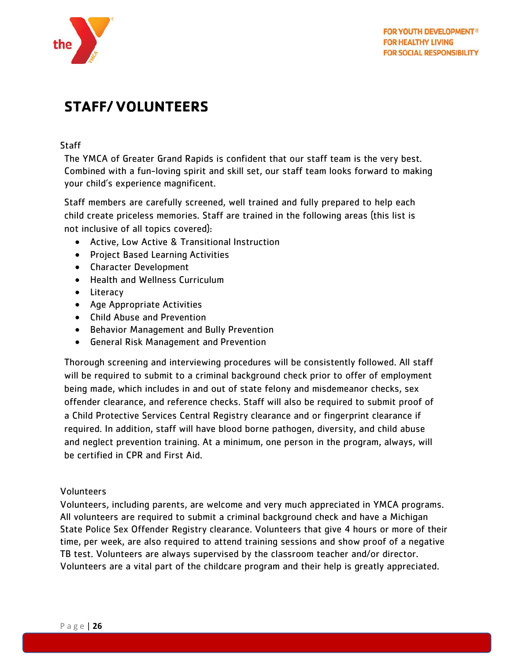

## <span id="page-26-0"></span>**STAFF/ VOLUNTEERS**

#### <span id="page-26-1"></span>**Staff**

The YMCA of Greater Grand Rapids is confident that our staff team is the very best. Combined with a fun-loving spirit and skill set, our staff team looks forward to making your child's experience magnificent.

Staff members are carefully screened, well trained and fully prepared to help each child create priceless memories. Staff are trained in the following areas (this list is not inclusive of all topics covered):

- Active, Low Active & Transitional Instruction
- Project Based Learning Activities
- Character Development
- Health and Wellness Curriculum
- Literacy
- Age Appropriate Activities
- Child Abuse and Prevention
- Behavior Management and Bully Prevention
- General Risk Management and Prevention

Thorough screening and interviewing procedures will be consistently followed. All staff will be required to submit to a criminal background check prior to offer of employment being made, which includes in and out of state felony and misdemeanor checks, sex offender clearance, and reference checks. Staff will also be required to submit proof of a Child Protective Services Central Registry clearance and or fingerprint clearance if required. In addition, staff will have blood borne pathogen, diversity, and child abuse and neglect prevention training. At a minimum, one person in the program, always, will be certified in CPR and First Aid.

#### <span id="page-26-2"></span>Volunteers

Volunteers, including parents, are welcome and very much appreciated in YMCA programs. All volunteers are required to submit a criminal background check and have a Michigan State Police Sex Offender Registry clearance. Volunteers that give 4 hours or more of their time, per week, are also required to attend training sessions and show proof of a negative TB test. Volunteers are always supervised by the classroom teacher and/or director. Volunteers are a vital part of the childcare program and their help is greatly appreciated.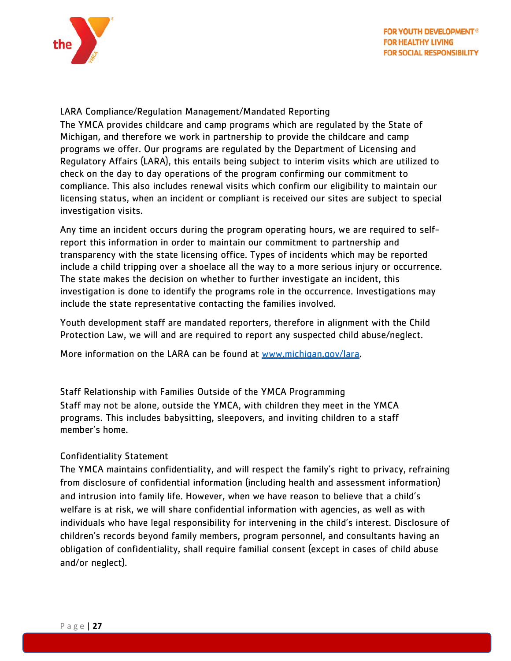

#### <span id="page-27-0"></span>LARA Compliance/Regulation Management/Mandated Reporting

The YMCA provides childcare and camp programs which are regulated by the State of Michigan, and therefore we work in partnership to provide the childcare and camp programs we offer. Our programs are regulated by the Department of Licensing and Regulatory Affairs (LARA), this entails being subject to interim visits which are utilized to check on the day to day operations of the program confirming our commitment to compliance. This also includes renewal visits which confirm our eligibility to maintain our licensing status, when an incident or compliant is received our sites are subject to special investigation visits.

Any time an incident occurs during the program operating hours, we are required to selfreport this information in order to maintain our commitment to partnership and transparency with the state licensing office. Types of incidents which may be reported include a child tripping over a shoelace all the way to a more serious injury or occurrence. The state makes the decision on whether to further investigate an incident, this investigation is done to identify the programs role in the occurrence. Investigations may include the state representative contacting the families involved.

Youth development staff are mandated reporters, therefore in alignment with the Child Protection Law, we will and are required to report any suspected child abuse/neglect.

More information on the LARA can be found at [www.michigan.gov/lara.](http://www.michigan.gov/lara)

<span id="page-27-1"></span>Staff Relationship with Families Outside of the YMCA Programming Staff may not be alone, outside the YMCA, with children they meet in the YMCA programs. This includes babysitting, sleepovers, and inviting children to a staff member's home.

#### <span id="page-27-2"></span>Confidentiality Statement

The YMCA maintains confidentiality, and will respect the family's right to privacy, refraining from disclosure of confidential information (including health and assessment information) and intrusion into family life. However, when we have reason to believe that a child's welfare is at risk, we will share confidential information with agencies, as well as with individuals who have legal responsibility for intervening in the child's interest. Disclosure of children's records beyond family members, program personnel, and consultants having an obligation of confidentiality, shall require familial consent (except in cases of child abuse and/or neglect).